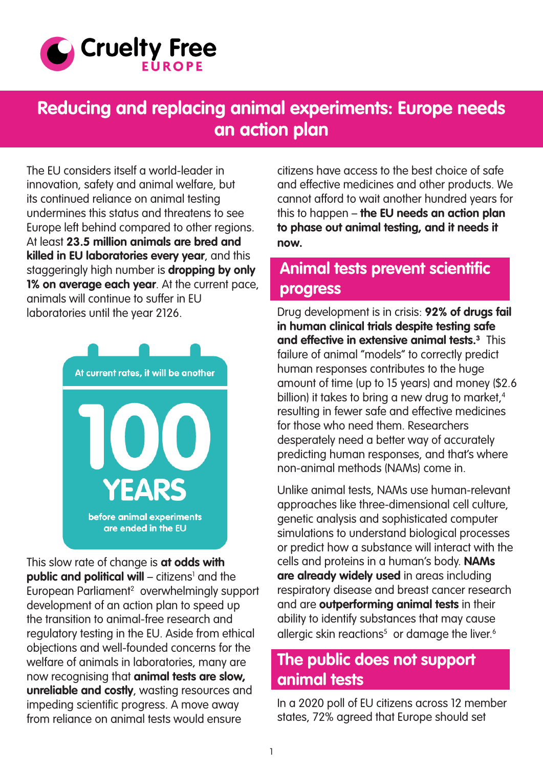<span id="page-0-0"></span>

# **Reducing and replacing animal experiments: Europe needs an action plan**

The EU considers itself a world-leader in innovation, safety and animal welfare, but its continued reliance on animal testing undermines this status and threatens to see Europe left behind compared to other regions. At least **23.5 million animals are bred and killed in EU laboratories every year**, and this staggeringly high number is **dropping by only 1% on average each year**. At the current pace, animals will continue to suffer in EU laboratories until the year 2126.



This slow rate of change is **at odds with public and political will** – citizens<sup>[1](#page-3-0)</sup> and the European Parliamen[t2](#page-3-0) overwhelmingly support development of an action plan to speed up the transition to animal-free research and regulatory testing in the EU. Aside from ethical objections and well-founded concerns for the welfare of animals in laboratories, many are now recognising that **animal tests are slow, unreliable and costly**, wasting resources and impeding scientific progress. A move away from reliance on animal tests would ensure

citizens have access to the best choice of safe and effective medicines and other products. We cannot afford to wait another hundred years for this to happen – **the EU needs an action plan to phase out animal testing, and it needs it now.**

#### **Animal tests prevent scientific progress**

Drug development is in crisis: **92% of drugs fail in human clinical trials despite testing safe and effective in extensive animal tests[.3](#page-3-0)** This failure of animal "models" to correctly predict human responses contributes to the huge amount of time (up to 15 years) and money (\$2.6 billion) it takes to bring a new drug to market, $4$ resulting in fewer safe and effective medicines for those who need them. Researchers desperately need a better way of accurately predicting human responses, and that's where non-animal methods (NAMs) come in.

Unlike animal tests, NAMs use human-relevant approaches like three-dimensional cell culture, genetic analysis and sophisticated computer simulations to understand biological processes or predict how a substance will interact with the cells and proteins in a human's body. **NAMs are already widely used** in areas including respiratory disease and breast cancer research and are **outperforming animal tests** in their ability to identify substances that may cause allergic skin reactions<sup>[5](#page-3-0)</sup> or damage the liver.<sup>6</sup>

#### **The public does not support animal tests**

In a 2020 poll of EU citizens across 12 member states, 72% agreed that Europe should set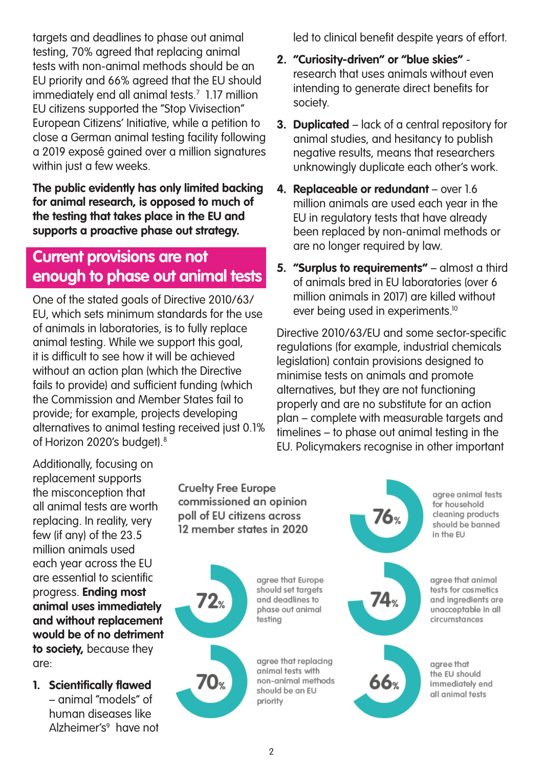<span id="page-1-0"></span>targets and deadlines to phase out animal testing, 70% agreed that replacing animal tests with non-animal methods should be an EU priority and 66% agreed that the EU should immediately end all animal tests[.7](#page-3-0) 1.17 million EU citizens supported the "Stop Vivisection" European Citizens' Initiative, while a petition to close a German animal testing facility following a 2019 exposé gained over a million signatures within just a few weeks.

**The public evidently has only limited backing for animal research, is opposed to much of the testing that takes place in the EU and supports a proactive phase out strategy.**

### **Current provisions are not enough to phase out animal tests**

One of the stated goals of Directive 2010/63/ EU, which sets minimum standards for the use of animals in laboratories, is to fully replace animal testing. While we support this goal, it is difficult to see how it will be achieved without an action plan (which the Directive fails to provide) and sufficient funding (which the Commission and Member States fail to provide; for example, projects developing alternatives to animal testing received just 0.1% of Horizon 2020's budget)[.8](#page-3-0)

led to clinical benefit despite years of effort.

- **2. "Curiosity-driven" or "blue skies"**  research that uses animals without even intending to generate direct benefits for society.
- **3. Duplicated**  lack of a central repository for animal studies, and hesitancy to publish negative results, means that researchers unknowingly duplicate each other's work.
- **4. Replaceable or redundant** over 1.6 million animals are used each year in the EU in regulatory tests that have already been replaced by non-animal methods or are no longer required by law.
- **5. "Surplus to requirements"** almost a third of animals bred in EU laboratories (over 6 million animals in 2017) are killed without ever being used in experiments.<sup>10</sup>

Directive 2010/63/EU and some sector-specific regulations (for example, industrial chemicals legislation) contain provisions designed to minimise tests on animals and promote alternatives, but they are not functioning properly and are no substitute for an action plan – complete with measurable targets and timelines – to phase out animal testing in the EU. Policymakers recognise in other important

Additionally, focusing on replacement supports the misconception that all animal tests are worth replacing. In reality, very few (if any) of the 23.5 million animals used each year across the EU are essential to scientific progress. **Ending most animal uses immediately and without replacement would be of no detriment to society,** because they are:

**1. Scientifically flawed** – animal "models" of human diseases like Alzheimer's<sup>[9](#page-3-0)</sup> have not

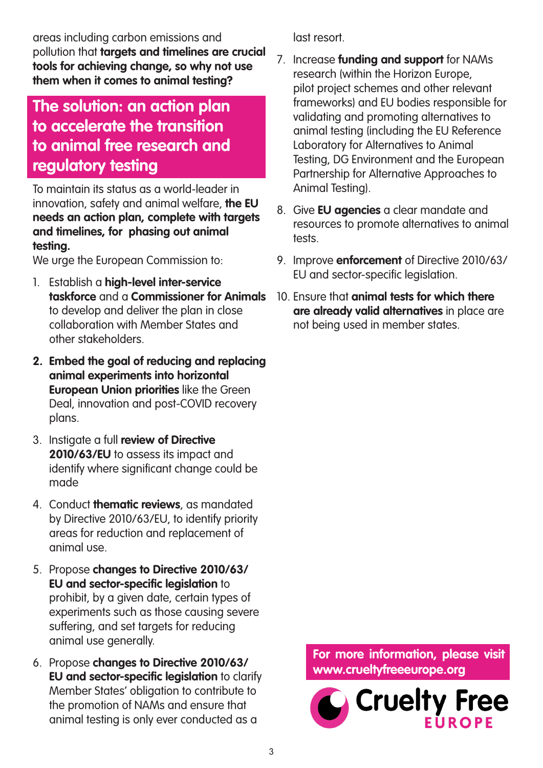areas including carbon emissions and pollution that **targets and timelines are crucial tools for achieving change, so why not use them when it comes to animal testing?**

## **The solution: an action plan to accelerate the transition to animal free research and regulatory testing**

To maintain its status as a world-leader in innovation, safety and animal welfare, **the EU needs an action plan, complete with targets and timelines, for phasing out animal testing.**

We urge the European Commission to:

- 1. Establish a **high-level inter-service taskforce** and a **Commissioner for Animals**  to develop and deliver the plan in close collaboration with Member States and other stakeholders.
- **2. Embed the goal of reducing and replacing animal experiments into horizontal European Union priorities** like the Green Deal, innovation and post-COVID recovery plans.
- 3. Instigate a full **review of Directive 2010/63/EU** to assess its impact and identify where significant change could be made
- 4. Conduct **thematic reviews**, as mandated by Directive 2010/63/EU, to identify priority areas for reduction and replacement of animal use.
- 5. Propose **changes to Directive 2010/63/ EU and sector-specific legislation** to prohibit, by a given date, certain types of experiments such as those causing severe suffering, and set targets for reducing animal use generally.
- 6. Propose **changes to Directive 2010/63/ EU and sector-specific legislation** to clarify Member States' obligation to contribute to the promotion of NAMs and ensure that animal testing is only ever conducted as a

last resort.

- 7. Increase **funding and support** for NAMs research (within the Horizon Europe, pilot project schemes and other relevant frameworks) and EU bodies responsible for validating and promoting alternatives to animal testing (including the EU Reference Laboratory for Alternatives to Animal Testing, DG Environment and the European Partnership for Alternative Approaches to Animal Testing).
- 8. Give **EU agencies** a clear mandate and resources to promote alternatives to animal tests.
- 9. Improve **enforcement** of Directive 2010/63/ EU and sector-specific legislation.
- 10. Ensure that **animal tests for which there are already valid alternatives** in place are not being used in member states.

**For more information, please visit www.crueltyfreeeurope.org**